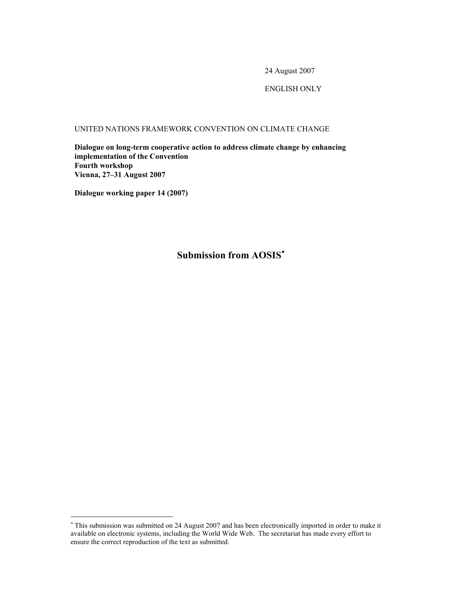24 August 2007

# ENGLISH ONLY

UNITED NATIONS FRAMEWORK CONVENTION ON CLIMATE CHANGE

**Dialogue on long-term cooperative action to address climate change by enhancing implementation of the Convention Fourth workshop Vienna, 27–31 August 2007** 

**Dialogue working paper 14 (2007)** 

-

**Submission from AOSIS**<sup>∗</sup>

<sup>∗</sup> This submission was submitted on 24 August 2007 and has been electronically imported in order to make it available on electronic systems, including the World Wide Web. The secretariat has made every effort to ensure the correct reproduction of the text as submitted.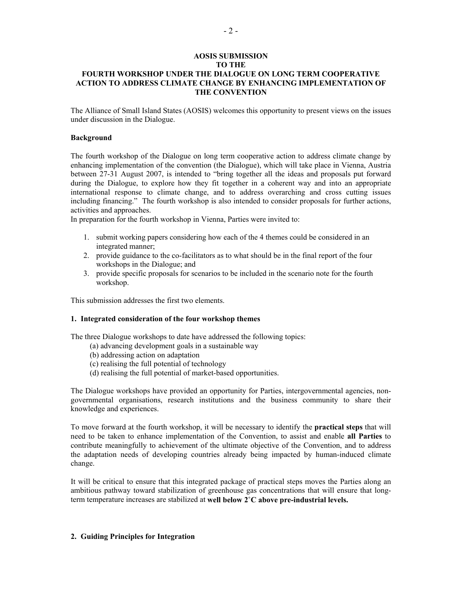## **AOSIS SUBMISSION TO THE FOURTH WORKSHOP UNDER THE DIALOGUE ON LONG TERM COOPERATIVE ACTION TO ADDRESS CLIMATE CHANGE BY ENHANCING IMPLEMENTATION OF THE CONVENTION**

The Alliance of Small Island States (AOSIS) welcomes this opportunity to present views on the issues under discussion in the Dialogue.

### **Background**

The fourth workshop of the Dialogue on long term cooperative action to address climate change by enhancing implementation of the convention (the Dialogue), which will take place in Vienna, Austria between 27-31 August 2007, is intended to "bring together all the ideas and proposals put forward during the Dialogue, to explore how they fit together in a coherent way and into an appropriate international response to climate change, and to address overarching and cross cutting issues including financing." The fourth workshop is also intended to consider proposals for further actions, activities and approaches.

In preparation for the fourth workshop in Vienna, Parties were invited to:

- 1. submit working papers considering how each of the 4 themes could be considered in an integrated manner;
- 2. provide guidance to the co-facilitators as to what should be in the final report of the four workshops in the Dialogue; and
- 3. provide specific proposals for scenarios to be included in the scenario note for the fourth workshop.

This submission addresses the first two elements.

### **1. Integrated consideration of the four workshop themes**

The three Dialogue workshops to date have addressed the following topics:

- (a) advancing development goals in a sustainable way
- (b) addressing action on adaptation
- (c) realising the full potential of technology
- (d) realising the full potential of market-based opportunities.

The Dialogue workshops have provided an opportunity for Parties, intergovernmental agencies, nongovernmental organisations, research institutions and the business community to share their knowledge and experiences.

To move forward at the fourth workshop, it will be necessary to identify the **practical steps** that will need to be taken to enhance implementation of the Convention, to assist and enable **all Parties** to contribute meaningfully to achievement of the ultimate objective of the Convention, and to address the adaptation needs of developing countries already being impacted by human-induced climate change.

It will be critical to ensure that this integrated package of practical steps moves the Parties along an ambitious pathway toward stabilization of greenhouse gas concentrations that will ensure that longterm temperature increases are stabilized at **well below 2˚C above pre-industrial levels.** 

#### **2. Guiding Principles for Integration**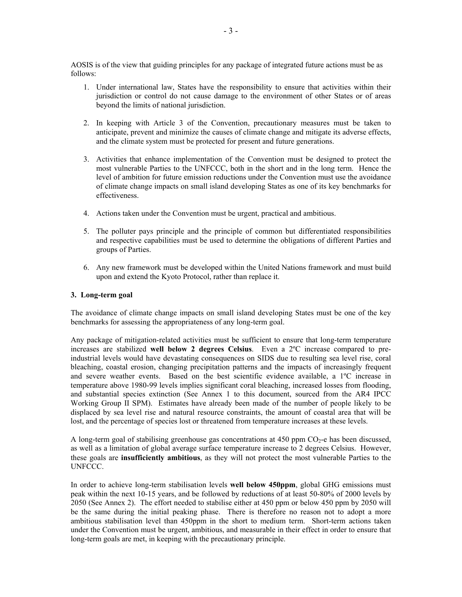AOSIS is of the view that guiding principles for any package of integrated future actions must be as follows:

- 1. Under international law, States have the responsibility to ensure that activities within their jurisdiction or control do not cause damage to the environment of other States or of areas beyond the limits of national jurisdiction.
- 2. In keeping with Article 3 of the Convention, precautionary measures must be taken to anticipate, prevent and minimize the causes of climate change and mitigate its adverse effects, and the climate system must be protected for present and future generations.
- 3. Activities that enhance implementation of the Convention must be designed to protect the most vulnerable Parties to the UNFCCC, both in the short and in the long term. Hence the level of ambition for future emission reductions under the Convention must use the avoidance of climate change impacts on small island developing States as one of its key benchmarks for effectiveness.
- 4. Actions taken under the Convention must be urgent, practical and ambitious.
- 5. The polluter pays principle and the principle of common but differentiated responsibilities and respective capabilities must be used to determine the obligations of different Parties and groups of Parties.
- 6. Any new framework must be developed within the United Nations framework and must build upon and extend the Kyoto Protocol, rather than replace it.

## **3. Long-term goal**

The avoidance of climate change impacts on small island developing States must be one of the key benchmarks for assessing the appropriateness of any long-term goal.

Any package of mitigation-related activities must be sufficient to ensure that long-term temperature increases are stabilized **well below 2 degrees Celsius**. Even a 2ºC increase compared to preindustrial levels would have devastating consequences on SIDS due to resulting sea level rise, coral bleaching, coastal erosion, changing precipitation patterns and the impacts of increasingly frequent and severe weather events. Based on the best scientific evidence available, a 1ºC increase in temperature above 1980-99 levels implies significant coral bleaching, increased losses from flooding, and substantial species extinction (See Annex 1 to this document, sourced from the AR4 IPCC Working Group II SPM). Estimates have already been made of the number of people likely to be displaced by sea level rise and natural resource constraints, the amount of coastal area that will be lost, and the percentage of species lost or threatened from temperature increases at these levels.

A long-term goal of stabilising greenhouse gas concentrations at 450 ppm  $CO<sub>2</sub>$ -e has been discussed, as well as a limitation of global average surface temperature increase to 2 degrees Celsius. However, these goals are **insufficiently ambitious**, as they will not protect the most vulnerable Parties to the UNFCCC.

In order to achieve long-term stabilisation levels **well below 450ppm**, global GHG emissions must peak within the next 10-15 years, and be followed by reductions of at least 50-80% of 2000 levels by 2050 (See Annex 2). The effort needed to stabilise either at 450 ppm or below 450 ppm by 2050 will be the same during the initial peaking phase. There is therefore no reason not to adopt a more ambitious stabilisation level than 450ppm in the short to medium term. Short-term actions taken under the Convention must be urgent, ambitious, and measurable in their effect in order to ensure that long-term goals are met, in keeping with the precautionary principle.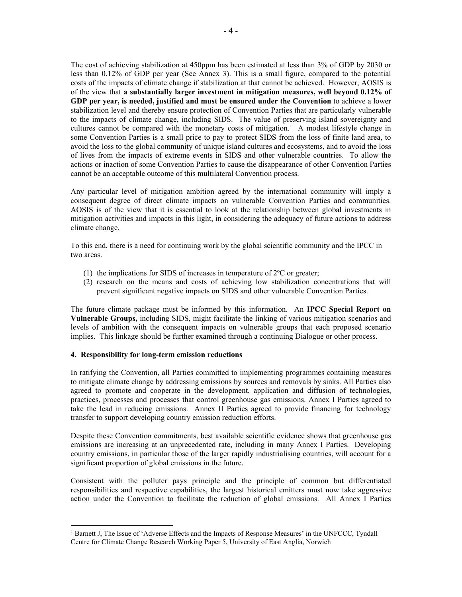The cost of achieving stabilization at 450ppm has been estimated at less than 3% of GDP by 2030 or less than 0.12% of GDP per year (See Annex 3). This is a small figure, compared to the potential costs of the impacts of climate change if stabilization at that cannot be achieved. However, AOSIS is of the view that **a substantially larger investment in mitigation measures, well beyond 0.12% of GDP per year, is needed, justified and must be ensured under the Convention** to achieve a lower stabilization level and thereby ensure protection of Convention Parties that are particularly vulnerable to the impacts of climate change, including SIDS. The value of preserving island sovereignty and cultures cannot be compared with the monetary costs of mitigation.<sup>1</sup> A modest lifestyle change in some Convention Parties is a small price to pay to protect SIDS from the loss of finite land area, to avoid the loss to the global community of unique island cultures and ecosystems, and to avoid the loss of lives from the impacts of extreme events in SIDS and other vulnerable countries. To allow the actions or inaction of some Convention Parties to cause the disappearance of other Convention Parties cannot be an acceptable outcome of this multilateral Convention process.

Any particular level of mitigation ambition agreed by the international community will imply a consequent degree of direct climate impacts on vulnerable Convention Parties and communities. AOSIS is of the view that it is essential to look at the relationship between global investments in mitigation activities and impacts in this light, in considering the adequacy of future actions to address climate change.

To this end, there is a need for continuing work by the global scientific community and the IPCC in two areas.

- (1) the implications for SIDS of increases in temperature of 2ºC or greater;
- (2) research on the means and costs of achieving low stabilization concentrations that will prevent significant negative impacts on SIDS and other vulnerable Convention Parties.

The future climate package must be informed by this information. An **IPCC Special Report on Vulnerable Groups,** including SIDS, might facilitate the linking of various mitigation scenarios and levels of ambition with the consequent impacts on vulnerable groups that each proposed scenario implies. This linkage should be further examined through a continuing Dialogue or other process.

### **4. Responsibility for long-term emission reductions**

-

In ratifying the Convention, all Parties committed to implementing programmes containing measures to mitigate climate change by addressing emissions by sources and removals by sinks. All Parties also agreed to promote and cooperate in the development, application and diffusion of technologies, practices, processes and processes that control greenhouse gas emissions. Annex I Parties agreed to take the lead in reducing emissions. Annex II Parties agreed to provide financing for technology transfer to support developing country emission reduction efforts.

Despite these Convention commitments, best available scientific evidence shows that greenhouse gas emissions are increasing at an unprecedented rate, including in many Annex I Parties. Developing country emissions, in particular those of the larger rapidly industrialising countries, will account for a significant proportion of global emissions in the future.

Consistent with the polluter pays principle and the principle of common but differentiated responsibilities and respective capabilities, the largest historical emitters must now take aggressive action under the Convention to facilitate the reduction of global emissions. All Annex I Parties

<sup>&</sup>lt;sup>1</sup> Barnett J, The Issue of 'Adverse Effects and the Impacts of Response Measures' in the UNFCCC, Tyndall Centre for Climate Change Research Working Paper 5, University of East Anglia, Norwich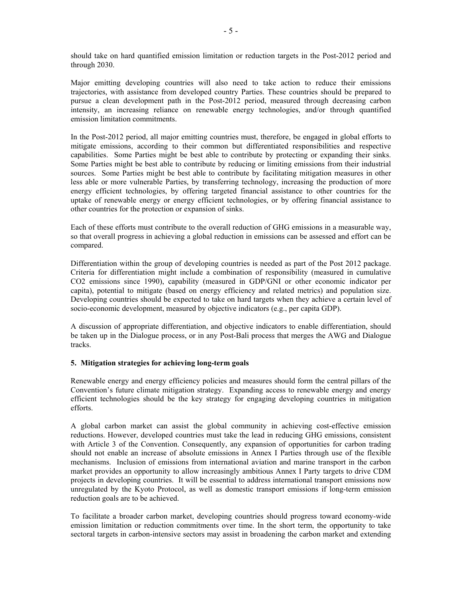should take on hard quantified emission limitation or reduction targets in the Post-2012 period and through 2030.

Major emitting developing countries will also need to take action to reduce their emissions trajectories, with assistance from developed country Parties. These countries should be prepared to pursue a clean development path in the Post-2012 period, measured through decreasing carbon intensity, an increasing reliance on renewable energy technologies, and/or through quantified emission limitation commitments.

In the Post-2012 period, all major emitting countries must, therefore, be engaged in global efforts to mitigate emissions, according to their common but differentiated responsibilities and respective capabilities. Some Parties might be best able to contribute by protecting or expanding their sinks. Some Parties might be best able to contribute by reducing or limiting emissions from their industrial sources. Some Parties might be best able to contribute by facilitating mitigation measures in other less able or more vulnerable Parties, by transferring technology, increasing the production of more energy efficient technologies, by offering targeted financial assistance to other countries for the uptake of renewable energy or energy efficient technologies, or by offering financial assistance to other countries for the protection or expansion of sinks.

Each of these efforts must contribute to the overall reduction of GHG emissions in a measurable way, so that overall progress in achieving a global reduction in emissions can be assessed and effort can be compared.

Differentiation within the group of developing countries is needed as part of the Post 2012 package. Criteria for differentiation might include a combination of responsibility (measured in cumulative CO2 emissions since 1990), capability (measured in GDP/GNI or other economic indicator per capita), potential to mitigate (based on energy efficiency and related metrics) and population size. Developing countries should be expected to take on hard targets when they achieve a certain level of socio-economic development, measured by objective indicators (e.g., per capita GDP).

A discussion of appropriate differentiation, and objective indicators to enable differentiation, should be taken up in the Dialogue process, or in any Post-Bali process that merges the AWG and Dialogue tracks.

## **5. Mitigation strategies for achieving long-term goals**

Renewable energy and energy efficiency policies and measures should form the central pillars of the Convention's future climate mitigation strategy. Expanding access to renewable energy and energy efficient technologies should be the key strategy for engaging developing countries in mitigation efforts.

A global carbon market can assist the global community in achieving cost-effective emission reductions. However, developed countries must take the lead in reducing GHG emissions, consistent with Article 3 of the Convention. Consequently, any expansion of opportunities for carbon trading should not enable an increase of absolute emissions in Annex I Parties through use of the flexible mechanisms. Inclusion of emissions from international aviation and marine transport in the carbon market provides an opportunity to allow increasingly ambitious Annex I Party targets to drive CDM projects in developing countries. It will be essential to address international transport emissions now unregulated by the Kyoto Protocol, as well as domestic transport emissions if long-term emission reduction goals are to be achieved.

To facilitate a broader carbon market, developing countries should progress toward economy-wide emission limitation or reduction commitments over time. In the short term, the opportunity to take sectoral targets in carbon-intensive sectors may assist in broadening the carbon market and extending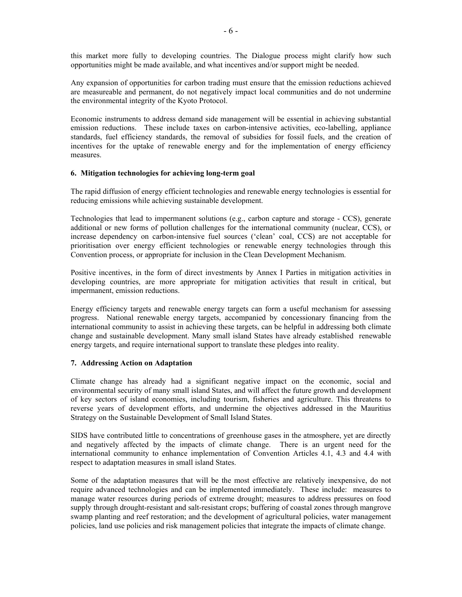this market more fully to developing countries. The Dialogue process might clarify how such opportunities might be made available, and what incentives and/or support might be needed.

Any expansion of opportunities for carbon trading must ensure that the emission reductions achieved are measureable and permanent, do not negatively impact local communities and do not undermine the environmental integrity of the Kyoto Protocol.

Economic instruments to address demand side management will be essential in achieving substantial emission reductions. These include taxes on carbon-intensive activities, eco-labelling, appliance standards, fuel efficiency standards, the removal of subsidies for fossil fuels, and the creation of incentives for the uptake of renewable energy and for the implementation of energy efficiency measures.

### **6. Mitigation technologies for achieving long-term goal**

The rapid diffusion of energy efficient technologies and renewable energy technologies is essential for reducing emissions while achieving sustainable development.

Technologies that lead to impermanent solutions (e.g., carbon capture and storage - CCS), generate additional or new forms of pollution challenges for the international community (nuclear, CCS), or increase dependency on carbon-intensive fuel sources ('clean' coal, CCS) are not acceptable for prioritisation over energy efficient technologies or renewable energy technologies through this Convention process, or appropriate for inclusion in the Clean Development Mechanism.

Positive incentives, in the form of direct investments by Annex I Parties in mitigation activities in developing countries, are more appropriate for mitigation activities that result in critical, but impermanent, emission reductions.

Energy efficiency targets and renewable energy targets can form a useful mechanism for assessing progress. National renewable energy targets, accompanied by concessionary financing from the international community to assist in achieving these targets, can be helpful in addressing both climate change and sustainable development. Many small island States have already established renewable energy targets, and require international support to translate these pledges into reality.

### **7. Addressing Action on Adaptation**

Climate change has already had a significant negative impact on the economic, social and environmental security of many small island States, and will affect the future growth and development of key sectors of island economies, including tourism, fisheries and agriculture. This threatens to reverse years of development efforts, and undermine the objectives addressed in the Mauritius Strategy on the Sustainable Development of Small Island States.

SIDS have contributed little to concentrations of greenhouse gases in the atmosphere, yet are directly and negatively affected by the impacts of climate change. There is an urgent need for the international community to enhance implementation of Convention Articles 4.1, 4.3 and 4.4 with respect to adaptation measures in small island States.

Some of the adaptation measures that will be the most effective are relatively inexpensive, do not require advanced technologies and can be implemented immediately. These include: measures to manage water resources during periods of extreme drought; measures to address pressures on food supply through drought-resistant and salt-resistant crops; buffering of coastal zones through mangrove swamp planting and reef restoration; and the development of agricultural policies, water management policies, land use policies and risk management policies that integrate the impacts of climate change.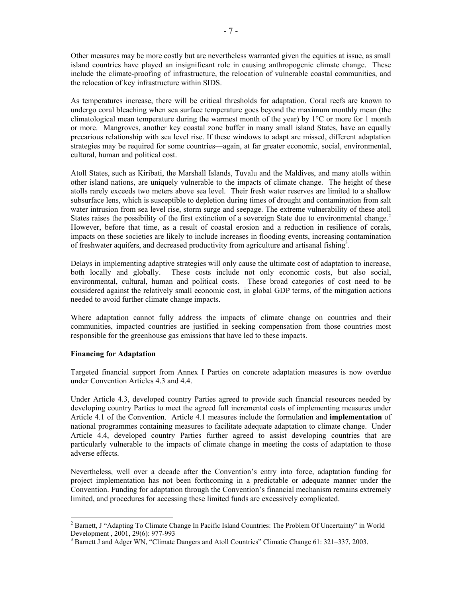Other measures may be more costly but are nevertheless warranted given the equities at issue, as small island countries have played an insignificant role in causing anthropogenic climate change. These include the climate-proofing of infrastructure, the relocation of vulnerable coastal communities, and the relocation of key infrastructure within SIDS.

As temperatures increase, there will be critical thresholds for adaptation. Coral reefs are known to undergo coral bleaching when sea surface temperature goes beyond the maximum monthly mean (the climatological mean temperature during the warmest month of the year) by  $1^{\circ}$ C or more for 1 month or more. Mangroves, another key coastal zone buffer in many small island States, have an equally precarious relationship with sea level rise. If these windows to adapt are missed, different adaptation strategies may be required for some countries—again, at far greater economic, social, environmental, cultural, human and political cost.

Atoll States, such as Kiribati, the Marshall Islands, Tuvalu and the Maldives, and many atolls within other island nations, are uniquely vulnerable to the impacts of climate change. The height of these atolls rarely exceeds two meters above sea level. Their fresh water reserves are limited to a shallow subsurface lens, which is susceptible to depletion during times of drought and contamination from salt water intrusion from sea level rise, storm surge and seepage. The extreme vulnerability of these atoll States raises the possibility of the first extinction of a sovereign State due to environmental change.<sup>2</sup> However, before that time, as a result of coastal erosion and a reduction in resilience of corals, impacts on these societies are likely to include increases in flooding events, increasing contamination of freshwater aquifers, and decreased productivity from agriculture and artisanal fishing<sup>3</sup>.

Delays in implementing adaptive strategies will only cause the ultimate cost of adaptation to increase, both locally and globally. These costs include not only economic costs, but also social, environmental, cultural, human and political costs. These broad categories of cost need to be considered against the relatively small economic cost, in global GDP terms, of the mitigation actions needed to avoid further climate change impacts.

Where adaptation cannot fully address the impacts of climate change on countries and their communities, impacted countries are justified in seeking compensation from those countries most responsible for the greenhouse gas emissions that have led to these impacts.

## **Financing for Adaptation**

-

Targeted financial support from Annex I Parties on concrete adaptation measures is now overdue under Convention Articles 4.3 and 4.4.

Under Article 4.3, developed country Parties agreed to provide such financial resources needed by developing country Parties to meet the agreed full incremental costs of implementing measures under Article 4.1 of the Convention. Article 4.1 measures include the formulation and **implementation** of national programmes containing measures to facilitate adequate adaptation to climate change. Under Article 4.4, developed country Parties further agreed to assist developing countries that are particularly vulnerable to the impacts of climate change in meeting the costs of adaptation to those adverse effects.

Nevertheless, well over a decade after the Convention's entry into force, adaptation funding for project implementation has not been forthcoming in a predictable or adequate manner under the Convention. Funding for adaptation through the Convention's financial mechanism remains extremely limited, and procedures for accessing these limited funds are excessively complicated.

<sup>&</sup>lt;sup>2</sup> Barnett, J "Adapting To Climate Change In Pacific Island Countries: The Problem Of Uncertainty" in World Development , 2001, 29(6): 977-993

<sup>&</sup>lt;sup>3</sup> Barnett J and Adger WN, "Climate Dangers and Atoll Countries" Climatic Change 61: 321–337, 2003.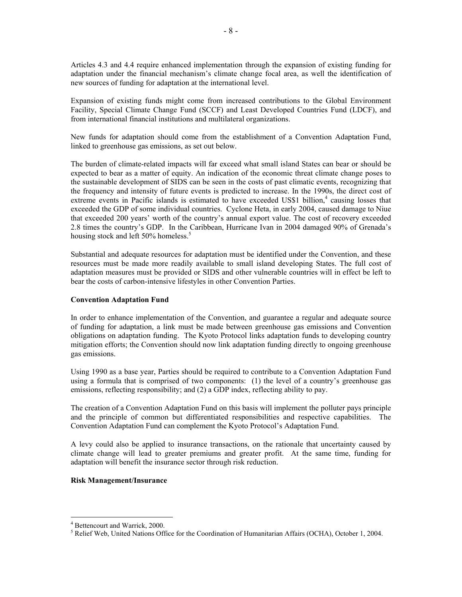Articles 4.3 and 4.4 require enhanced implementation through the expansion of existing funding for adaptation under the financial mechanism's climate change focal area, as well the identification of new sources of funding for adaptation at the international level.

Expansion of existing funds might come from increased contributions to the Global Environment Facility, Special Climate Change Fund (SCCF) and Least Developed Countries Fund (LDCF), and from international financial institutions and multilateral organizations.

New funds for adaptation should come from the establishment of a Convention Adaptation Fund, linked to greenhouse gas emissions, as set out below.

The burden of climate-related impacts will far exceed what small island States can bear or should be expected to bear as a matter of equity. An indication of the economic threat climate change poses to the sustainable development of SIDS can be seen in the costs of past climatic events, recognizing that the frequency and intensity of future events is predicted to increase. In the 1990s, the direct cost of extreme events in Pacific islands is estimated to have exceeded US\$1 billion,<sup>4</sup> causing losses that exceeded the GDP of some individual countries. Cyclone Heta, in early 2004, caused damage to Niue that exceeded 200 years' worth of the country's annual export value. The cost of recovery exceeded 2.8 times the country's GDP. In the Caribbean, Hurricane Ivan in 2004 damaged 90% of Grenada's housing stock and left 50% homeless.<sup>5</sup>

Substantial and adequate resources for adaptation must be identified under the Convention, and these resources must be made more readily available to small island developing States. The full cost of adaptation measures must be provided or SIDS and other vulnerable countries will in effect be left to bear the costs of carbon-intensive lifestyles in other Convention Parties.

#### **Convention Adaptation Fund**

In order to enhance implementation of the Convention, and guarantee a regular and adequate source of funding for adaptation, a link must be made between greenhouse gas emissions and Convention obligations on adaptation funding. The Kyoto Protocol links adaptation funds to developing country mitigation efforts; the Convention should now link adaptation funding directly to ongoing greenhouse gas emissions.

Using 1990 as a base year, Parties should be required to contribute to a Convention Adaptation Fund using a formula that is comprised of two components: (1) the level of a country's greenhouse gas emissions, reflecting responsibility; and (2) a GDP index, reflecting ability to pay.

The creation of a Convention Adaptation Fund on this basis will implement the polluter pays principle and the principle of common but differentiated responsibilities and respective capabilities. The Convention Adaptation Fund can complement the Kyoto Protocol's Adaptation Fund.

A levy could also be applied to insurance transactions, on the rationale that uncertainty caused by climate change will lead to greater premiums and greater profit. At the same time, funding for adaptation will benefit the insurance sector through risk reduction.

#### **Risk Management/Insurance**

-

<sup>4</sup> Bettencourt and Warrick, 2000.

<sup>&</sup>lt;sup>5</sup> Relief Web, United Nations Office for the Coordination of Humanitarian Affairs (OCHA), October 1, 2004.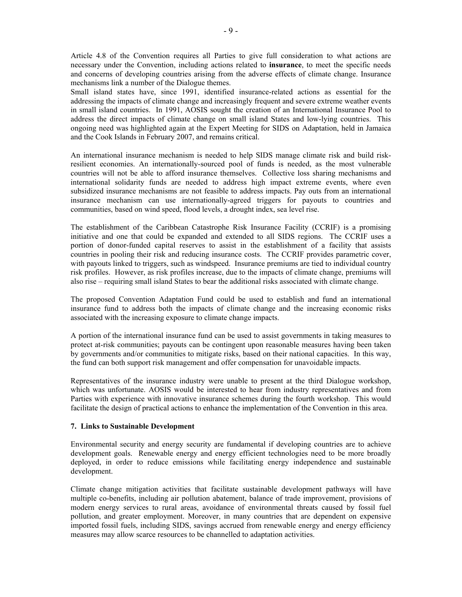Article 4.8 of the Convention requires all Parties to give full consideration to what actions are necessary under the Convention, including actions related to **insurance**, to meet the specific needs and concerns of developing countries arising from the adverse effects of climate change. Insurance mechanisms link a number of the Dialogue themes.

Small island states have, since 1991, identified insurance-related actions as essential for the addressing the impacts of climate change and increasingly frequent and severe extreme weather events in small island countries. In 1991, AOSIS sought the creation of an International Insurance Pool to address the direct impacts of climate change on small island States and low-lying countries. This ongoing need was highlighted again at the Expert Meeting for SIDS on Adaptation, held in Jamaica and the Cook Islands in February 2007, and remains critical.

An international insurance mechanism is needed to help SIDS manage climate risk and build riskresilient economies. An internationally-sourced pool of funds is needed, as the most vulnerable countries will not be able to afford insurance themselves. Collective loss sharing mechanisms and international solidarity funds are needed to address high impact extreme events, where even subsidized insurance mechanisms are not feasible to address impacts. Pay outs from an international insurance mechanism can use internationally-agreed triggers for payouts to countries and communities, based on wind speed, flood levels, a drought index, sea level rise.

The establishment of the Caribbean Catastrophe Risk Insurance Facility (CCRIF) is a promising initiative and one that could be expanded and extended to all SIDS regions. The CCRIF uses a portion of donor-funded capital reserves to assist in the establishment of a facility that assists countries in pooling their risk and reducing insurance costs. The CCRIF provides parametric cover, with payouts linked to triggers, such as windspeed. Insurance premiums are tied to individual country risk profiles. However, as risk profiles increase, due to the impacts of climate change, premiums will also rise – requiring small island States to bear the additional risks associated with climate change.

The proposed Convention Adaptation Fund could be used to establish and fund an international insurance fund to address both the impacts of climate change and the increasing economic risks associated with the increasing exposure to climate change impacts.

A portion of the international insurance fund can be used to assist governments in taking measures to protect at-risk communities; payouts can be contingent upon reasonable measures having been taken by governments and/or communities to mitigate risks, based on their national capacities. In this way, the fund can both support risk management and offer compensation for unavoidable impacts.

Representatives of the insurance industry were unable to present at the third Dialogue workshop, which was unfortunate. AOSIS would be interested to hear from industry representatives and from Parties with experience with innovative insurance schemes during the fourth workshop. This would facilitate the design of practical actions to enhance the implementation of the Convention in this area.

#### **7. Links to Sustainable Development**

Environmental security and energy security are fundamental if developing countries are to achieve development goals. Renewable energy and energy efficient technologies need to be more broadly deployed, in order to reduce emissions while facilitating energy independence and sustainable development.

Climate change mitigation activities that facilitate sustainable development pathways will have multiple co-benefits, including air pollution abatement, balance of trade improvement, provisions of modern energy services to rural areas, avoidance of environmental threats caused by fossil fuel pollution, and greater employment. Moreover, in many countries that are dependent on expensive imported fossil fuels, including SIDS, savings accrued from renewable energy and energy efficiency measures may allow scarce resources to be channelled to adaptation activities.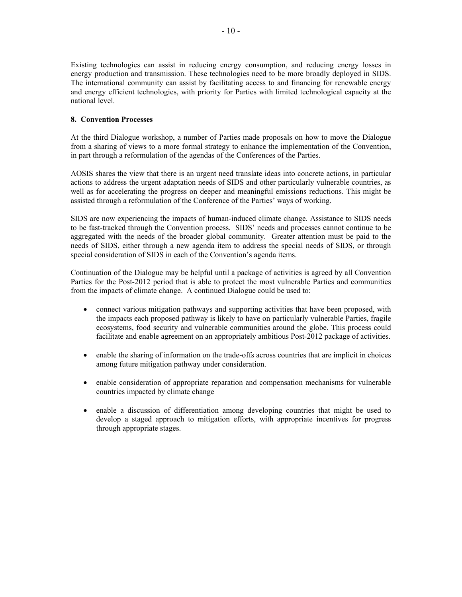Existing technologies can assist in reducing energy consumption, and reducing energy losses in energy production and transmission. These technologies need to be more broadly deployed in SIDS. The international community can assist by facilitating access to and financing for renewable energy and energy efficient technologies, with priority for Parties with limited technological capacity at the national level.

# **8. Convention Processes**

At the third Dialogue workshop, a number of Parties made proposals on how to move the Dialogue from a sharing of views to a more formal strategy to enhance the implementation of the Convention, in part through a reformulation of the agendas of the Conferences of the Parties.

AOSIS shares the view that there is an urgent need translate ideas into concrete actions, in particular actions to address the urgent adaptation needs of SIDS and other particularly vulnerable countries, as well as for accelerating the progress on deeper and meaningful emissions reductions. This might be assisted through a reformulation of the Conference of the Parties' ways of working.

SIDS are now experiencing the impacts of human-induced climate change. Assistance to SIDS needs to be fast-tracked through the Convention process. SIDS' needs and processes cannot continue to be aggregated with the needs of the broader global community. Greater attention must be paid to the needs of SIDS, either through a new agenda item to address the special needs of SIDS, or through special consideration of SIDS in each of the Convention's agenda items.

Continuation of the Dialogue may be helpful until a package of activities is agreed by all Convention Parties for the Post-2012 period that is able to protect the most vulnerable Parties and communities from the impacts of climate change. A continued Dialogue could be used to:

- connect various mitigation pathways and supporting activities that have been proposed, with the impacts each proposed pathway is likely to have on particularly vulnerable Parties, fragile ecosystems, food security and vulnerable communities around the globe. This process could facilitate and enable agreement on an appropriately ambitious Post-2012 package of activities.
- enable the sharing of information on the trade-offs across countries that are implicit in choices among future mitigation pathway under consideration.
- enable consideration of appropriate reparation and compensation mechanisms for vulnerable countries impacted by climate change
- enable a discussion of differentiation among developing countries that might be used to develop a staged approach to mitigation efforts, with appropriate incentives for progress through appropriate stages.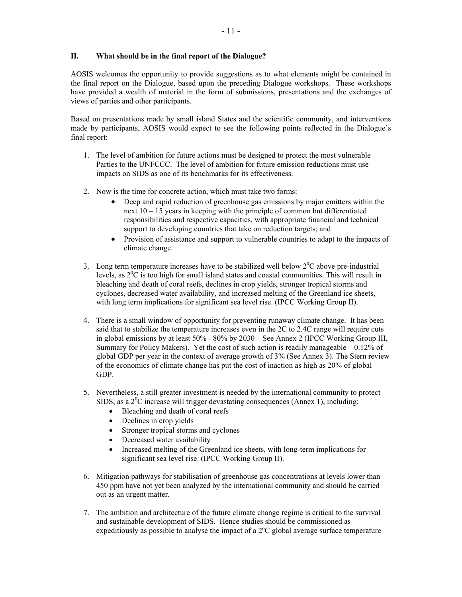# **II. What should be in the final report of the Dialogue?**

AOSIS welcomes the opportunity to provide suggestions as to what elements might be contained in the final report on the Dialogue, based upon the preceding Dialogue workshops. These workshops have provided a wealth of material in the form of submissions, presentations and the exchanges of views of parties and other participants.

Based on presentations made by small island States and the scientific community, and interventions made by participants, AOSIS would expect to see the following points reflected in the Dialogue's final report:

- 1. The level of ambition for future actions must be designed to protect the most vulnerable Parties to the UNFCCC. The level of ambition for future emission reductions must use impacts on SIDS as one of its benchmarks for its effectiveness.
- 2. Now is the time for concrete action, which must take two forms:
	- Deep and rapid reduction of greenhouse gas emissions by major emitters within the next 10 – 15 years in keeping with the principle of common but differentiated responsibilities and respective capacities, with appropriate financial and technical support to developing countries that take on reduction targets; and
	- Provision of assistance and support to vulnerable countries to adapt to the impacts of climate change.
- 3. Long term temperature increases have to be stabilized well below  $2^{0}C$  above pre-industrial levels, as  $2^{0}C$  is too high for small island states and coastal communities. This will result in bleaching and death of coral reefs, declines in crop yields, stronger tropical storms and cyclones, decreased water availability, and increased melting of the Greenland ice sheets, with long term implications for significant sea level rise. (IPCC Working Group II).
- 4. There is a small window of opportunity for preventing runaway climate change. It has been said that to stabilize the temperature increases even in the 2C to 2.4C range will require cuts in global emissions by at least 50% - 80% by 2030 – See Annex 2 (IPCC Working Group III, Summary for Policy Makers). Yet the cost of such action is readily manageable  $-0.12\%$  of global GDP per year in the context of average growth of 3% (See Annex 3). The Stern review of the economics of climate change has put the cost of inaction as high as 20% of global GDP.
- 5. Nevertheless, a still greater investment is needed by the international community to protect SIDS, as a  $2^{0}$ C increase will trigger devastating consequences (Annex 1), including:
	- Bleaching and death of coral reefs
	- Declines in crop yields
	- Stronger tropical storms and cyclones
	- Decreased water availability
	- Increased melting of the Greenland ice sheets, with long-term implications for significant sea level rise. (IPCC Working Group II).
- 6. Mitigation pathways for stabilisation of greenhouse gas concentrations at levels lower than 450 ppm have not yet been analyzed by the international community and should be carried out as an urgent matter.
- 7. The ambition and architecture of the future climate change regime is critical to the survival and sustainable development of SIDS. Hence studies should be commissioned as expeditiously as possible to analyse the impact of a 2ºC global average surface temperature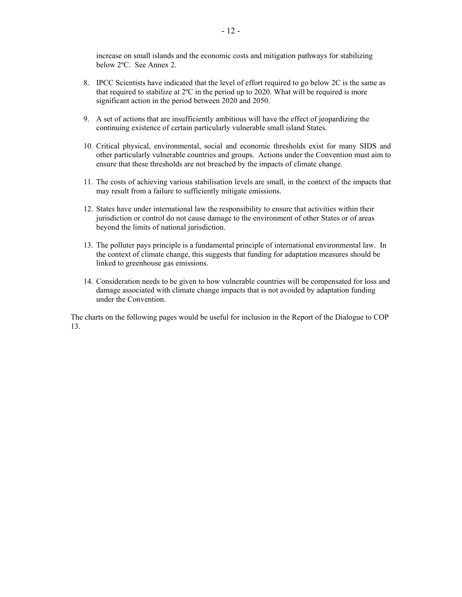increase on small islands and the economic costs and mitigation pathways for stabilizing below 2ºC. See Annex 2.

- 8. IPCC Scientists have indicated that the level of effort required to go below 2C is the same as that required to stabilize at 2ºC in the period up to 2020. What will be required is more significant action in the period between 2020 and 2050.
- 9. A set of actions that are insufficiently ambitious will have the effect of jeopardizing the continuing existence of certain particularly vulnerable small island States.
- 10. Critical physical, environmental, social and economic thresholds exist for many SIDS and other particularly vulnerable countries and groups. Actions under the Convention must aim to ensure that these thresholds are not breached by the impacts of climate change.
- 11. The costs of achieving various stabilisation levels are small, in the context of the impacts that may result from a failure to sufficiently mitigate emissions.
- 12. States have under international law the responsibility to ensure that activities within their jurisdiction or control do not cause damage to the environment of other States or of areas beyond the limits of national jurisdiction.
- 13. The polluter pays principle is a fundamental principle of international environmental law. In the context of climate change, this suggests that funding for adaptation measures should be linked to greenhouse gas emissions.
- 14. Consideration needs to be given to how vulnerable countries will be compensated for loss and damage associated with climate change impacts that is not avoided by adaptation funding under the Convention.

The charts on the following pages would be useful for inclusion in the Report of the Dialogue to COP 13.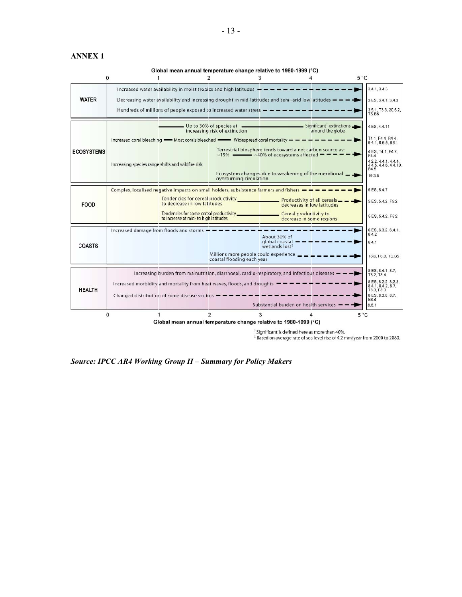# **ANNEX 1**

Global mean annual temperature change relative to 1980-1999 (°C)

| $\Omega$          |                                                                                                                                                                                                   |                                                                                                                                 | 2                                                                                                           | 3                                                                                                                                     | Δ                                                           | $5^{\circ}$ C                                         |
|-------------------|---------------------------------------------------------------------------------------------------------------------------------------------------------------------------------------------------|---------------------------------------------------------------------------------------------------------------------------------|-------------------------------------------------------------------------------------------------------------|---------------------------------------------------------------------------------------------------------------------------------------|-------------------------------------------------------------|-------------------------------------------------------|
|                   |                                                                                                                                                                                                   | Increased water availability in moist tropics and high latitudes $\frac{1}{1}$ =                                                |                                                                                                             |                                                                                                                                       |                                                             | 3.4.1.3.4.3                                           |
| <b>WATER</b>      |                                                                                                                                                                                                   | Decreasing water availability and increasing drought in mid-latitudes and semi-arid low latitudes $-\rightarrow$                |                                                                                                             |                                                                                                                                       |                                                             | 3.ES. 3.4.1, 3.4.3                                    |
|                   |                                                                                                                                                                                                   | Hundreds of millions of people exposed to increased water stress $-\rightarrow-\rightarrow-\rightarrow-\rightarrow-\rightarrow$ |                                                                                                             |                                                                                                                                       |                                                             | 3.5.1, T3.3, 20.6.2,<br>TS.B5                         |
| <b>ECOSYSTEMS</b> |                                                                                                                                                                                                   |                                                                                                                                 | increasing risk of extinction                                                                               |                                                                                                                                       | around the globe                                            | 4.ES. 4.4.11                                          |
|                   | Increased coral bleaching $\longrightarrow$ Most corals bleached $\longrightarrow$ Widespread coral mortality $\rightarrow$ $\rightarrow$ $\rightarrow$ $\rightarrow$ $\rightarrow$ $\rightarrow$ |                                                                                                                                 |                                                                                                             |                                                                                                                                       |                                                             |                                                       |
|                   |                                                                                                                                                                                                   |                                                                                                                                 |                                                                                                             | Terrestrial biosphere tends toward a net carbon source as:<br>$~15\%$ $\longrightarrow$ ~40% of ecosystems affected $\equiv$ $\equiv$ |                                                             | 641.665.B61<br>4.ES, T4.1, F4.2,<br>F4.4              |
|                   | Increasing species range shifts and wildfire risk                                                                                                                                                 |                                                                                                                                 |                                                                                                             |                                                                                                                                       |                                                             | 4.2.2, 4.4.1, 4.4.4,<br>4.4.5, 4.4.6, 4.4.10,<br>B4.5 |
|                   |                                                                                                                                                                                                   |                                                                                                                                 | overturning circulation                                                                                     |                                                                                                                                       | Ecosystem changes due to weakening of the meridional $\Box$ | 19.3.5                                                |
| <b>FOOD</b>       | 5.ES, 5.4.7<br>Complex, localised negative impacts on small holders, subsistence farmers and fishers $-\rightarrow -+$                                                                            |                                                                                                                                 |                                                                                                             |                                                                                                                                       |                                                             |                                                       |
|                   |                                                                                                                                                                                                   | to decrease in low latitudes                                                                                                    |                                                                                                             |                                                                                                                                       | decreases in low latitudes                                  | 5.ES. 5.4.2. F5.2                                     |
|                   |                                                                                                                                                                                                   | to increase at mid- to high latitudes                                                                                           |                                                                                                             |                                                                                                                                       | decrease in some regions                                    | 5.ES. 5.4.2. F5.2                                     |
|                   |                                                                                                                                                                                                   |                                                                                                                                 |                                                                                                             |                                                                                                                                       |                                                             | 6.ES, 6.3.2, 6.4.1.<br>6.4.2                          |
| <b>COASTS</b>     |                                                                                                                                                                                                   |                                                                                                                                 |                                                                                                             | About 30% of<br>$a$ lobal coastal $ -$<br>wetlands lost <sup>#</sup>                                                                  |                                                             | 6.4.1                                                 |
|                   |                                                                                                                                                                                                   |                                                                                                                                 | Millions more people could experience $\_\_ \_\_ \_\_ \_\_ \_ \_ \_ \_ \_ \_$<br>coastal flooding each year |                                                                                                                                       |                                                             | T6.6, F6.8, TS.B5                                     |
| <b>HEALTH</b>     |                                                                                                                                                                                                   | Increasing burden from malnutrition, diarrhoeal, cardio-respiratory, and infectious diseases $-\rightarrow$                     |                                                                                                             |                                                                                                                                       |                                                             | 8.ES. 8.4.1.8.7.<br>T8.2, T8.4                        |
|                   |                                                                                                                                                                                                   | Increased morbidity and mortality from heat waves, floods, and droughts -                                                       |                                                                                                             |                                                                                                                                       |                                                             | 8.ES. 8.2.2. 8.2.3.<br>8.4.1.8.4.2.8.7.<br>TB.3, FB.3 |
|                   |                                                                                                                                                                                                   | Changed distribution of some disease vectors $\frac{1}{1}$ = = = = = = = = = =                                                  |                                                                                                             | Substantial burden on health services --                                                                                              |                                                             | 8.ES. 8.2.8.8.7.<br><b>B8.4</b><br>8.6.1              |
| $\Omega$          |                                                                                                                                                                                                   |                                                                                                                                 | $\overline{2}$                                                                                              | 3                                                                                                                                     |                                                             | $5^{\circ}$ C                                         |
|                   |                                                                                                                                                                                                   | Global mean annual temperature change relative to 1980-1999 (°C)                                                                |                                                                                                             |                                                                                                                                       |                                                             |                                                       |

<sup>®</sup> Significant is defined here as more than 40%.<br><sup>‡</sup> Based on average rate of sea level rise of 4.2 mm/year from 2000 to 2080.

*Source: IPCC AR4 Working Group II – Summary for Policy Makers*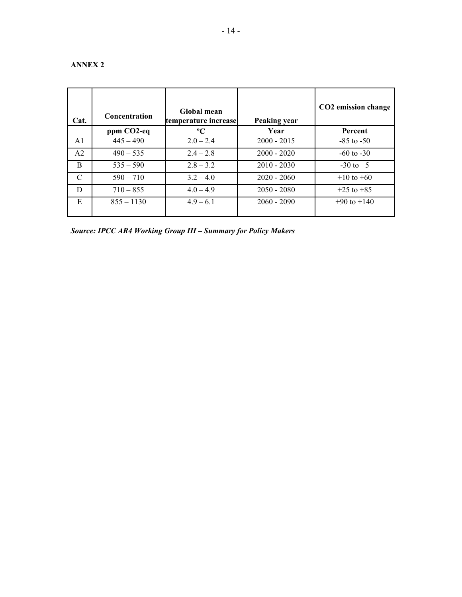# **ANNEX 2**

| Cat.           | <b>Concentration</b> | Global mean<br>temperature increase | Peaking year  | CO2 emission change |
|----------------|----------------------|-------------------------------------|---------------|---------------------|
|                | ppm CO2-eq           | $\rm ^{o}C$                         | Year          | <b>Percent</b>      |
| A <sub>1</sub> | $445 - 490$          | $2.0 - 2.4$                         | $2000 - 2015$ | $-85$ to $-50$      |
| A <sub>2</sub> | $490 - 535$          | $2.4 - 2.8$                         | $2000 - 2020$ | $-60$ to $-30$      |
| <sub>B</sub>   | $535 - 590$          | $2.8 - 3.2$                         | $2010 - 2030$ | $-30$ to $+5$       |
| $\mathcal{C}$  | $590 - 710$          | $3.2 - 4.0$                         | $2020 - 2060$ | $+10$ to $+60$      |
| D              | $710 - 855$          | $4.0 - 4.9$                         | $2050 - 2080$ | $+25$ to $+85$      |
| E              | $855 - 1130$         | $4.9 - 6.1$                         | $2060 - 2090$ | $+90$ to $+140$     |

*Source: IPCC AR4 Working Group III – Summary for Policy Makers*